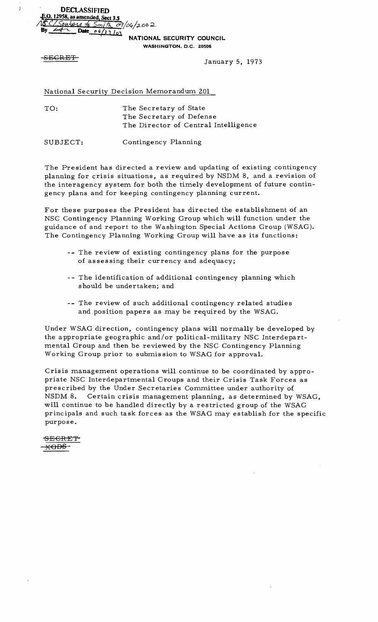**DECLASSIFIED** ~.O. **12958, as amended Sect3.5**   $\frac{\frac{1}{2} \times \frac{1}{2} \times \frac{1}{2} \times \frac{1}{2}}{\frac{1}{2} \times \frac{1}{2} \times \frac{1}{2} \times \frac{1}{2} \times \frac{1}{2}}$ 

<sup>i</sup>**NATIONAL SECURITY COUNCIL** 

**WASHINGTON,** D.C. **20506** 

 $\frac{1}{2}$ 

SECRET January 5, 1973

National Security Decision Memorandum 201

TO: The Secretary of State The Secretary of Defense The Director of Central Intelligence

SUBJECT: Contingency Planning

The President has directed a review and updating of existing contingency planning for crisis situations, as required by NSDM 8, and a revision of the interagency system for both the timely development of future contingency plans and for keeping contingency planning current.

For these purposes the President has directed the establishment of an NSC Contingency Planning Working Group which will function under the guidance of and report to the Washington Special Actions Group (WSAG). The Contingency Planning Working Group will have as its functions:

- -- The review of existing contingency plans for the purpose of as ses sing their currency and adequacy;
- -- The identification of additional contingency planning which should be undertaken; and
- -- The review of such additional contingency related studies and position papers as may be required by the WSAG.

Under WSAG direction, contingency plans will normally be developed by the appropriate geographic and/or political-military NSC Interdepartmental Group and then be reviewed by the NSC Contingency Planning Working Group prior to submission to WSAG for approvaL

Crisis management operations will continue to be coordinated by appropriate NSC Interdepartmental Groups and their Crisis Task Forces as prescribed by the Under Secretaries Committee under authority of NSDM 8. Certain crisis management planning, as determined by WSAG, will continue to be handled directly by a restricted group of the WSAG principals and such task forces as the WSAG may establish for the specific purpose.

-SECRET <del>kGDS.</del>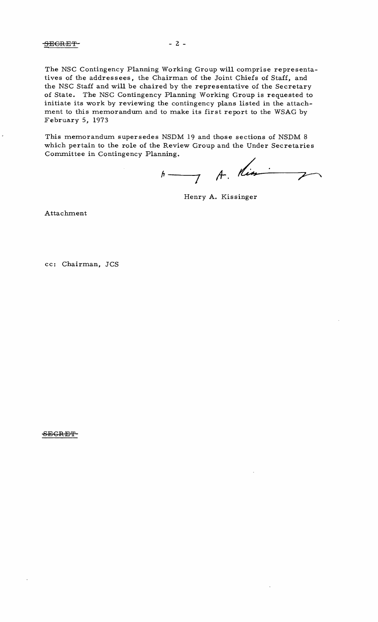This memorandum supersedes NSDM 19 and those sections of NSDM 8 which pertain to the role of the Review Group and the Under Secretaries Committee in Contingency Planning.

**/Y--- ;1-. <sup>7</sup>**  $\overline{2}$ 

Henry A. Kissinger

Attachment

February 5, 1973

cc: Chairman, JCS

SECRET